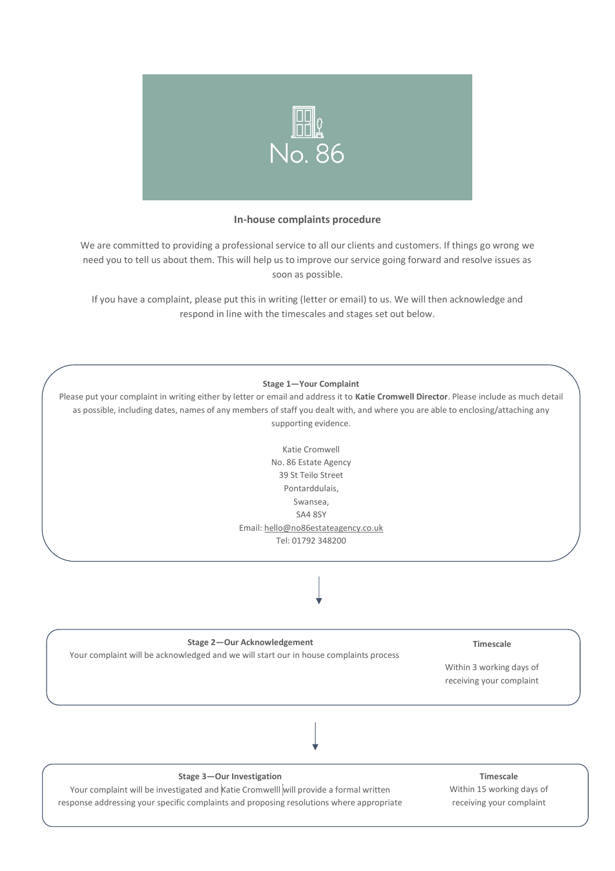

## **In-house complaints procedure**

We are committed to providing a professional service to all our clients and customers. If things go wrong we need you to tell us about them. This will help us to improve our service going forward and resolve issues as soon as possible.

If you have a complaint, please put this in writing (letter or email) to us. We will then acknowledge and respond in line with the timescales and stages set out below.



Please put your complaint in writing either by letter or email and address it to **Katie Cromwell Director**. Please include as much detail as possible, including dates, names of any members of staff you dealt with, and where you are able to enclosing/attaching any supporting evidence.



#### **Stage 2—Our Acknowledgement**

Your complaint will be acknowledged and we will start our in house complaints process

**Timescale**

Within 3 working days of receiving your complaint

**Stage 3—Our Investigation**

Your complaint will be investigated and Katie Cromwelll will provide a formal written response addressing your specific complaints and proposing resolutions where appropriate

**Timescale** Within 15 working days of receiving your complaint